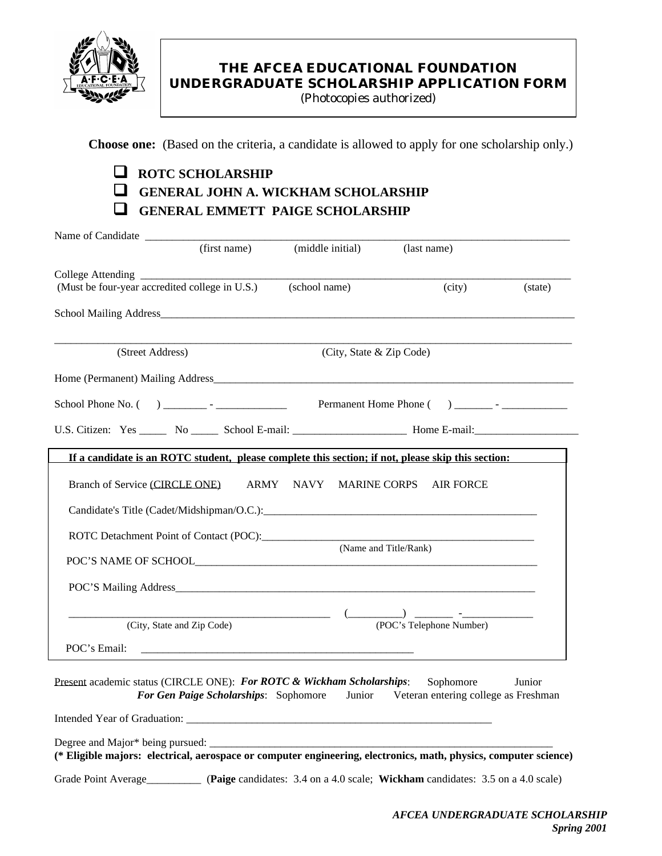

## **THE AFCEA EDUCATIONAL FOUNDATION UNDERGRADUATE SCHOLARSHIP APPLICATION FORM**

(Photocopies authorized)

**Choose one:** (Based on the criteria, a candidate is allowed to apply for one scholarship only.)

# q **ROTC SCHOLARSHIP**  $\Box$  GENERAL JOHN A. WICKHAM SCHOLARSHIP q **GENERAL EMMETT PAIGE SCHOLARSHIP**

| Name of Candidate                                                                                                |                                       |                                                 |                                                                                                    |         |
|------------------------------------------------------------------------------------------------------------------|---------------------------------------|-------------------------------------------------|----------------------------------------------------------------------------------------------------|---------|
|                                                                                                                  | (first name)                          |                                                 | (last name)                                                                                        |         |
|                                                                                                                  |                                       |                                                 |                                                                                                    |         |
| (Must be four-year accredited college in U.S.)                                                                   |                                       | (school name)                                   | (city)                                                                                             | (state) |
|                                                                                                                  |                                       |                                                 |                                                                                                    |         |
| (Street Address)                                                                                                 |                                       | (City, State & Zip Code)                        |                                                                                                    |         |
|                                                                                                                  |                                       |                                                 |                                                                                                    |         |
|                                                                                                                  |                                       |                                                 |                                                                                                    |         |
|                                                                                                                  |                                       |                                                 |                                                                                                    |         |
|                                                                                                                  |                                       |                                                 | If a candidate is an ROTC student, please complete this section; if not, please skip this section: |         |
| Branch of Service (CIRCLE ONE)                                                                                   |                                       | ARMY NAVY MARINE CORPS<br>(Name and Title/Rank) | <b>AIR FORCE</b>                                                                                   |         |
| (City, State and Zip Code)                                                                                       |                                       |                                                 | (POC's Telephone Number)                                                                           |         |
| POC's Email:                                                                                                     |                                       |                                                 |                                                                                                    |         |
| Present academic status (CIRCLE ONE): For ROTC & Wickham Scholarships:                                           | For Gen Paige Scholarships: Sophomore |                                                 | Sophomore<br>Junior Veteran entering college as Freshman                                           | Junior  |
|                                                                                                                  |                                       |                                                 |                                                                                                    |         |
| (* Eligible majors: electrical, aerospace or computer engineering, electronics, math, physics, computer science) |                                       |                                                 |                                                                                                    |         |

Grade Point Average\_\_\_\_\_\_\_\_\_\_ (**Paige** candidates: 3.4 on a 4.0 scale; **Wickham** candidates: 3.5 on a 4.0 scale)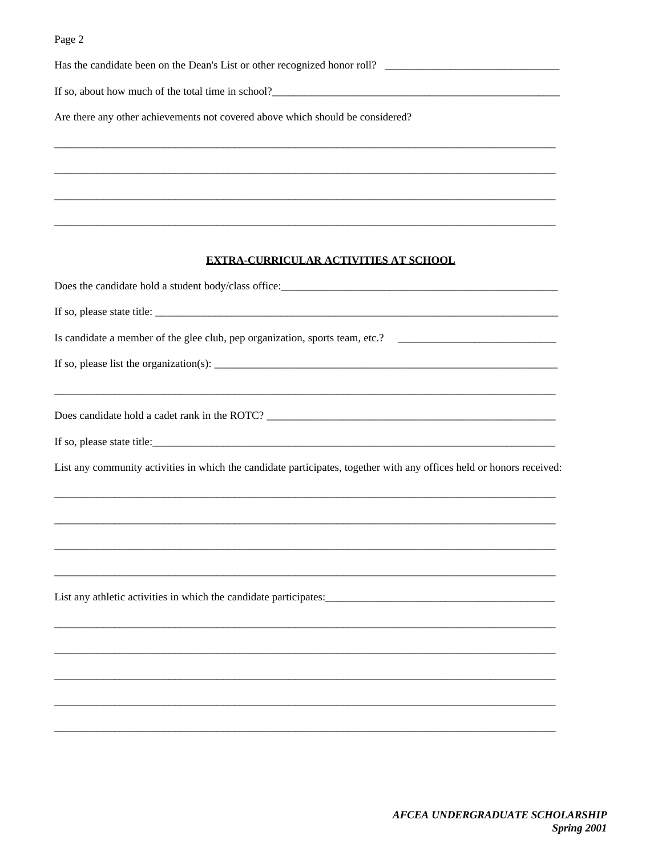| Has the candidate been on the Dean's List or other recognized honor roll?                                             |
|-----------------------------------------------------------------------------------------------------------------------|
| If so, about how much of the total time in school?<br><u>Example 2014</u>                                             |
| Are there any other achievements not covered above which should be considered?                                        |
|                                                                                                                       |
|                                                                                                                       |
| <b>EXTRA-CURRICULAR ACTIVITIES AT SCHOOL</b>                                                                          |
|                                                                                                                       |
|                                                                                                                       |
| Is candidate a member of the glee club, pep organization, sports team, etc.? _______________________                  |
|                                                                                                                       |
|                                                                                                                       |
|                                                                                                                       |
| List any community activities in which the candidate participates, together with any offices held or honors received: |
|                                                                                                                       |
|                                                                                                                       |
|                                                                                                                       |
|                                                                                                                       |
|                                                                                                                       |
|                                                                                                                       |
|                                                                                                                       |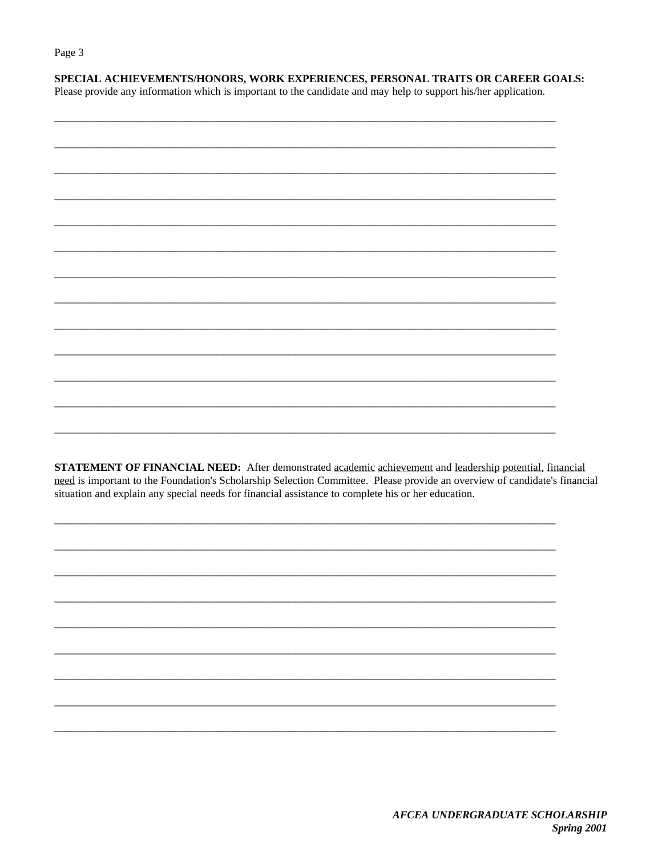SPECIAL ACHIEVEMENTS/HONORS, WORK EXPERIENCES, PERSONAL TRAITS OR CAREER GOALS:

Please provide any information which is important to the candidate and may help to support his/her application.

**STATEMENT OF FINANCIAL NEED:** After demonstrated academic achievement and leadership potential, financial need is important to the Foundation's Scholarship Selection Committee. Please provide an overview of candidate's financial situation and explain any special needs for financial assistance to complete his or her education.